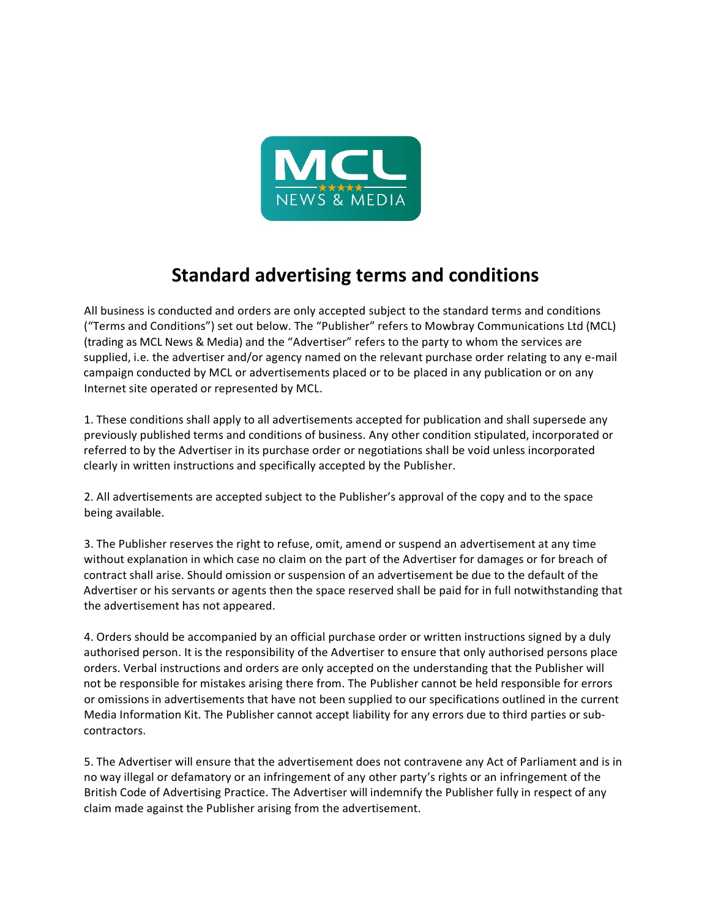

## **Standard advertising terms and conditions**

All business is conducted and orders are only accepted subject to the standard terms and conditions ("Terms and Conditions") set out below. The "Publisher" refers to Mowbray Communications Ltd (MCL) (trading as MCL News & Media) and the "Advertiser" refers to the party to whom the services are supplied, i.e. the advertiser and/or agency named on the relevant purchase order relating to any e-mail campaign conducted by MCL or advertisements placed or to be placed in any publication or on any Internet site operated or represented by MCL.

1. These conditions shall apply to all advertisements accepted for publication and shall supersede any previously published terms and conditions of business. Any other condition stipulated, incorporated or referred to by the Advertiser in its purchase order or negotiations shall be void unless incorporated clearly in written instructions and specifically accepted by the Publisher.

2. All advertisements are accepted subject to the Publisher's approval of the copy and to the space being available.

3. The Publisher reserves the right to refuse, omit, amend or suspend an advertisement at any time without explanation in which case no claim on the part of the Advertiser for damages or for breach of contract shall arise. Should omission or suspension of an advertisement be due to the default of the Advertiser or his servants or agents then the space reserved shall be paid for in full notwithstanding that the advertisement has not appeared.

4. Orders should be accompanied by an official purchase order or written instructions signed by a duly authorised person. It is the responsibility of the Advertiser to ensure that only authorised persons place orders. Verbal instructions and orders are only accepted on the understanding that the Publisher will not be responsible for mistakes arising there from. The Publisher cannot be held responsible for errors or omissions in advertisements that have not been supplied to our specifications outlined in the current Media Information Kit. The Publisher cannot accept liability for any errors due to third parties or subcontractors.

5. The Advertiser will ensure that the advertisement does not contravene any Act of Parliament and is in no way illegal or defamatory or an infringement of any other party's rights or an infringement of the British Code of Advertising Practice. The Advertiser will indemnify the Publisher fully in respect of any claim made against the Publisher arising from the advertisement.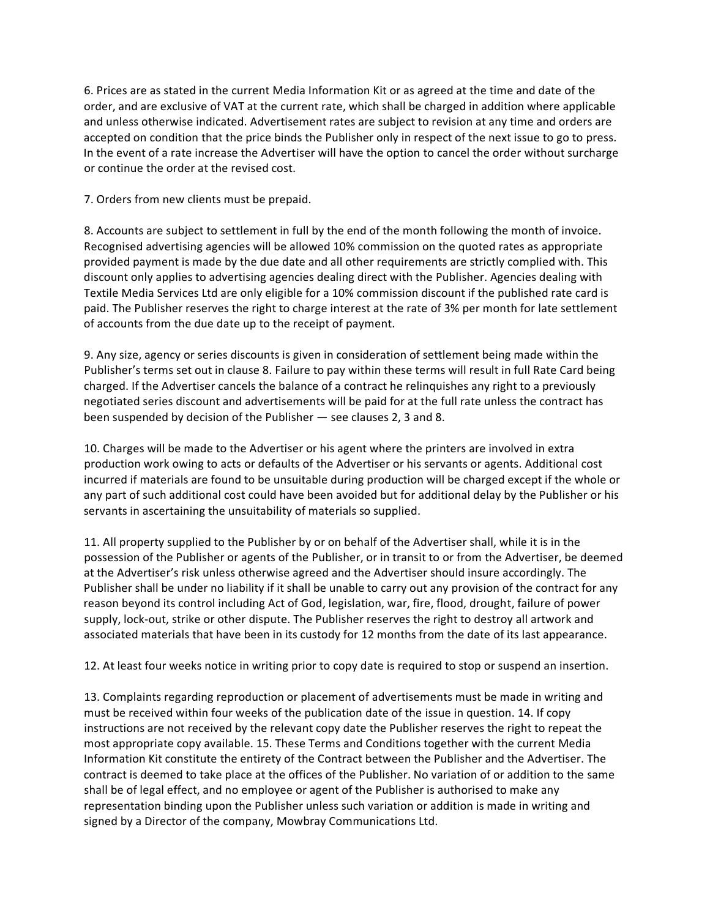6. Prices are as stated in the current Media Information Kit or as agreed at the time and date of the order, and are exclusive of VAT at the current rate, which shall be charged in addition where applicable and unless otherwise indicated. Advertisement rates are subject to revision at any time and orders are accepted on condition that the price binds the Publisher only in respect of the next issue to go to press. In the event of a rate increase the Advertiser will have the option to cancel the order without surcharge or continue the order at the revised cost.

7. Orders from new clients must be prepaid.

8. Accounts are subject to settlement in full by the end of the month following the month of invoice. Recognised advertising agencies will be allowed 10% commission on the quoted rates as appropriate provided payment is made by the due date and all other requirements are strictly complied with. This discount only applies to advertising agencies dealing direct with the Publisher. Agencies dealing with Textile Media Services Ltd are only eligible for a 10% commission discount if the published rate card is paid. The Publisher reserves the right to charge interest at the rate of 3% per month for late settlement of accounts from the due date up to the receipt of payment.

9. Any size, agency or series discounts is given in consideration of settlement being made within the Publisher's terms set out in clause 8. Failure to pay within these terms will result in full Rate Card being charged. If the Advertiser cancels the balance of a contract he relinquishes any right to a previously negotiated series discount and advertisements will be paid for at the full rate unless the contract has been suspended by decision of the Publisher — see clauses 2, 3 and 8.

10. Charges will be made to the Advertiser or his agent where the printers are involved in extra production work owing to acts or defaults of the Advertiser or his servants or agents. Additional cost incurred if materials are found to be unsuitable during production will be charged except if the whole or any part of such additional cost could have been avoided but for additional delay by the Publisher or his servants in ascertaining the unsuitability of materials so supplied.

11. All property supplied to the Publisher by or on behalf of the Advertiser shall, while it is in the possession of the Publisher or agents of the Publisher, or in transit to or from the Advertiser, be deemed at the Advertiser's risk unless otherwise agreed and the Advertiser should insure accordingly. The Publisher shall be under no liability if it shall be unable to carry out any provision of the contract for any reason beyond its control including Act of God, legislation, war, fire, flood, drought, failure of power supply, lock-out, strike or other dispute. The Publisher reserves the right to destroy all artwork and associated materials that have been in its custody for 12 months from the date of its last appearance.

12. At least four weeks notice in writing prior to copy date is required to stop or suspend an insertion.

13. Complaints regarding reproduction or placement of advertisements must be made in writing and must be received within four weeks of the publication date of the issue in question. 14. If copy instructions are not received by the relevant copy date the Publisher reserves the right to repeat the most appropriate copy available. 15. These Terms and Conditions together with the current Media Information Kit constitute the entirety of the Contract between the Publisher and the Advertiser. The contract is deemed to take place at the offices of the Publisher. No variation of or addition to the same shall be of legal effect, and no employee or agent of the Publisher is authorised to make any representation binding upon the Publisher unless such variation or addition is made in writing and signed by a Director of the company, Mowbray Communications Ltd.